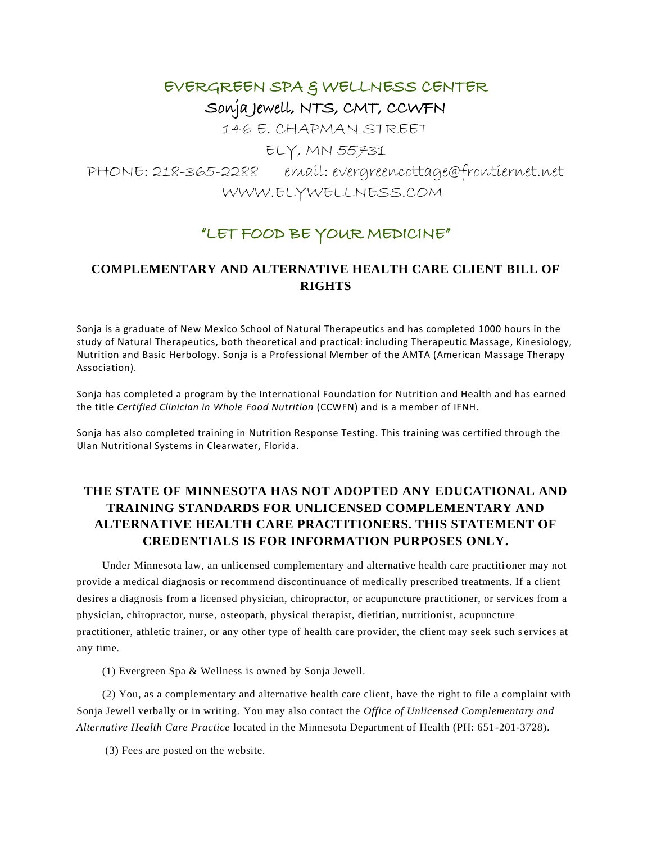# EVERGREEN SPA & WELLNESS CENTER Sonja Jewell, NTS, CMT, CCWFN

146 E. CHAPMAN STREET

ELY, MN 55731

PHONE: 218-365-2288 email: evergreencottage@frontiernet.net WWW.ELYWELLNESS.COM

## "LET FOOD BE YOUR MEDICINE"

### **COMPLEMENTARY AND ALTERNATIVE HEALTH CARE CLIENT BILL OF RIGHTS**

Sonja is a graduate of New Mexico School of Natural Therapeutics and has completed 1000 hours in the study of Natural Therapeutics, both theoretical and practical: including Therapeutic Massage, Kinesiology, Nutrition and Basic Herbology. Sonja is a Professional Member of the AMTA (American Massage Therapy Association).

Sonja has completed a program by the International Foundation for Nutrition and Health and has earned the title *Certified Clinician in Whole Food Nutrition* (CCWFN) and is a member of IFNH.

Sonja has also completed training in Nutrition Response Testing. This training was certified through the Ulan Nutritional Systems in Clearwater, Florida.

#### **THE STATE OF MINNESOTA HAS NOT ADOPTED ANY EDUCATIONAL AND TRAINING STANDARDS FOR UNLICENSED COMPLEMENTARY AND ALTERNATIVE HEALTH CARE PRACTITIONERS. THIS STATEMENT OF CREDENTIALS IS FOR INFORMATION PURPOSES ONLY.**

Under Minnesota law, an unlicensed complementary and alternative health care practiti oner may not provide a medical diagnosis or recommend discontinuance of medically prescribed treatments. If a client desires a diagnosis from a licensed physician, chiropractor, or acupuncture practitioner, or services from a physician, chiropractor, nurse, osteopath, physical therapist, dietitian, nutritionist, acupuncture practitioner, athletic trainer, or any other type of health care provider, the client may seek such s ervices at any time.

(1) Evergreen Spa & Wellness is owned by Sonja Jewell.

(2) You, as a complementary and alternative health care client, have the right to file a complaint with Sonja Jewell verbally or in writing. You may also contact the *Office of Unlicensed Complementary and Alternative Health Care Practice* located in the Minnesota Department of Health (PH: 651-201-3728).

(3) Fees are posted on the website.